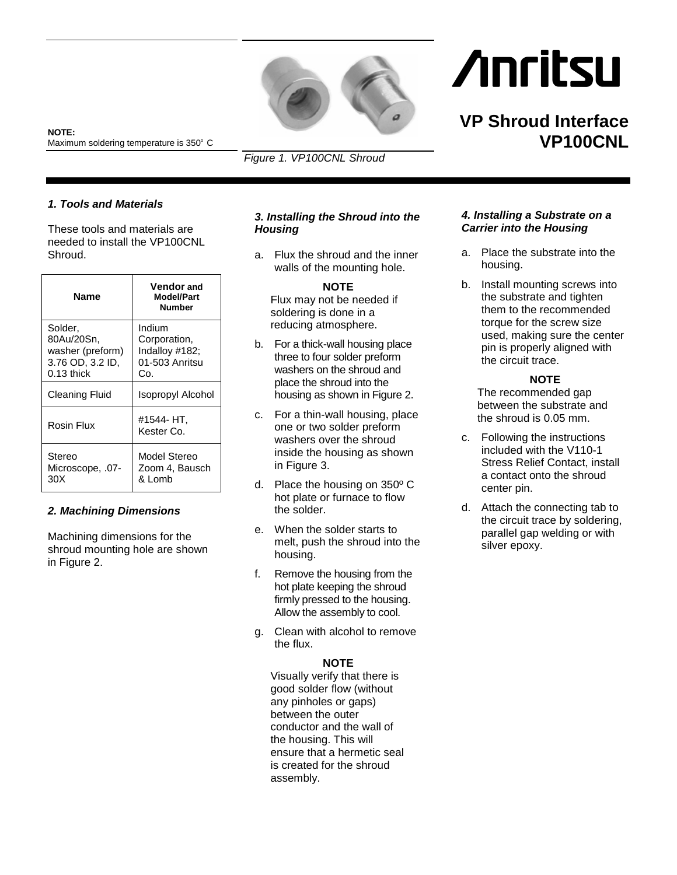

*Figure 1. VP100CNL Shroud*

# **Anritsu**

# **VP Shroud Interface VP100CNL**

**NOTE:**  Maximum soldering temperature is 350° C<br>

## *1. Tools and Materials*

These tools and materials are needed to install the VP100CNL Shroud.

| Name                                                                          | <b>Vendor and</b><br><b>Model/Part</b><br><b>Number</b>           |
|-------------------------------------------------------------------------------|-------------------------------------------------------------------|
| Solder,<br>80Au/20Sn,<br>washer (preform)<br>3.76 OD, 3.2 ID,<br>$0.13$ thick | Indium<br>Corporation,<br>Indalloy #182;<br>01-503 Anritsu<br>Co. |
| <b>Cleaning Fluid</b>                                                         | Isopropyl Alcohol                                                 |
| Rosin Flux                                                                    | #1544- HT.<br>Kester Co.                                          |
| Stereo<br>Microscope, .07-<br>30X                                             | Model Stereo<br>Zoom 4, Bausch<br>& Lomb                          |

#### *2. Machining Dimensions*

Machining dimensions for the shroud mounting hole are shown in Figure 2.

### *3. Installing the Shroud into the Housing*

a. Flux the shroud and the inner walls of the mounting hole.

#### **NOTE**

Flux may not be needed if soldering is done in a reducing atmosphere.

- b. For a thick-wall housing place three to four solder preform washers on the shroud and place the shroud into the housing as shown in Figure 2.
- c. For a thin-wall housing, place one or two solder preform washers over the shroud inside the housing as shown in Figure 3.
- d. Place the housing on 350º C hot plate or furnace to flow the solder.
- e. When the solder starts to melt, push the shroud into the housing.
- f. Remove the housing from the hot plate keeping the shroud firmly pressed to the housing. Allow the assembly to cool.
- g. Clean with alcohol to remove the flux.

# **NOTE**

Visually verify that there is good solder flow (without any pinholes or gaps) between the outer conductor and the wall of the housing. This will ensure that a hermetic seal is created for the shroud assembly.

#### *4. Installing a Substrate on a Carrier into the Housing*

- a. Place the substrate into the housing.
- b. Install mounting screws into the substrate and tighten them to the recommended torque for the screw size used, making sure the center pin is properly aligned with the circuit trace.

#### **NOTE**

The recommended gap between the substrate and the shroud is 0.05 mm.

- c. Following the instructions included with the V110-1 Stress Relief Contact, install a contact onto the shroud center pin.
- d. Attach the connecting tab to the circuit trace by soldering, parallel gap welding or with silver epoxy.